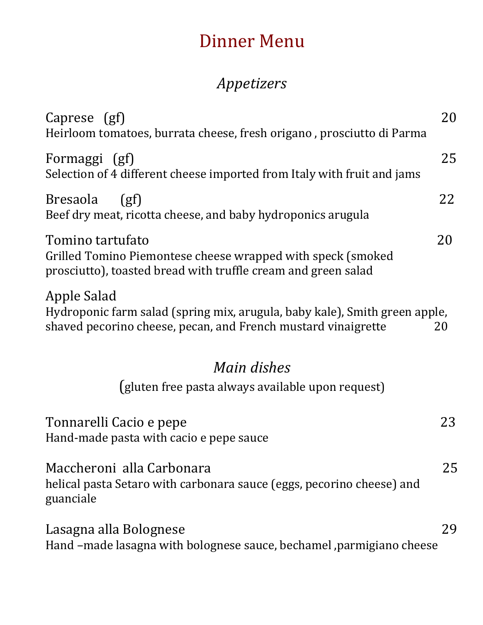## Dinner Menu

## *Appetizers*

| Caprese (gf)<br>Heirloom tomatoes, burrata cheese, fresh origano, prosciutto di Parma                                                                      | 20 |  |
|------------------------------------------------------------------------------------------------------------------------------------------------------------|----|--|
| Formaggi (gf)<br>Selection of 4 different cheese imported from Italy with fruit and jams                                                                   | 25 |  |
| <b>Bresaola</b><br>(gf)<br>Beef dry meat, ricotta cheese, and baby hydroponics arugula                                                                     | 22 |  |
| Tomino tartufato<br>Grilled Tomino Piemontese cheese wrapped with speck (smoked<br>prosciutto), toasted bread with truffle cream and green salad           | 20 |  |
| Apple Salad<br>Hydroponic farm salad (spring mix, arugula, baby kale), Smith green apple,<br>shaved pecorino cheese, pecan, and French mustard vinaigrette | 20 |  |
| Main dishes                                                                                                                                                |    |  |
| (gluten free pasta always available upon request)                                                                                                          |    |  |
| Tonnarelli Cacio e pepe<br>Hand-made pasta with cacio e pepe sauce                                                                                         | 23 |  |
| Maccheroni alla Carbonara<br>helical pasta Setaro with carbonara sauce (eggs, pecorino cheese) and<br>guanciale                                            | 25 |  |
| Lasagna alla Bolognese<br>Hand -made lasagna with bolognese sauce, bechamel , parmigiano cheese                                                            | 29 |  |